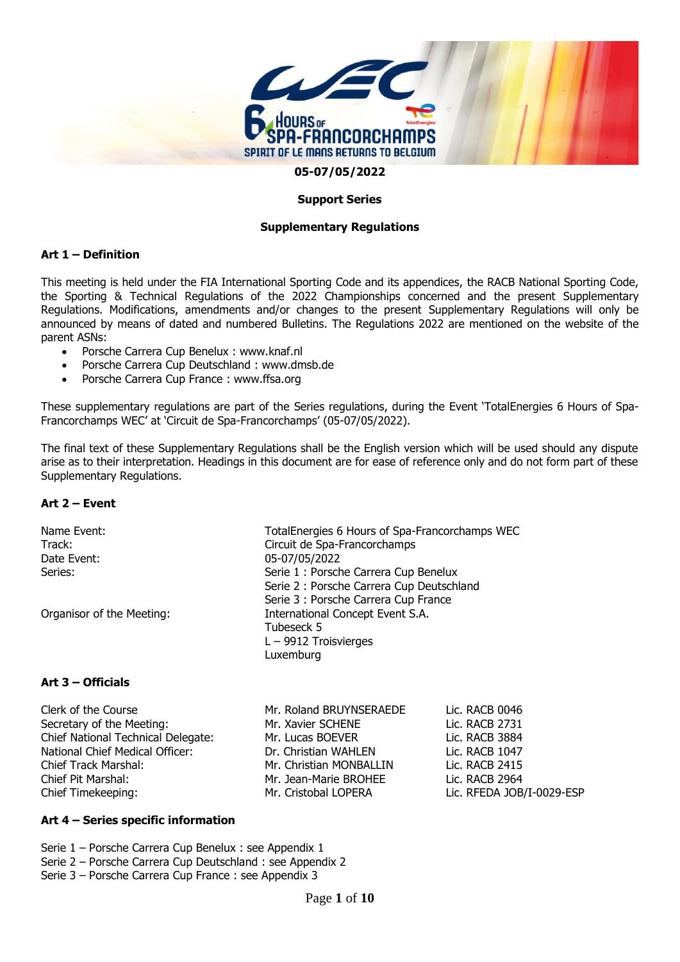

#### **Support Series**

#### **Supplementary Regulations**

#### **Art 1 – Definition**

This meeting is held under the FIA International Sporting Code and its appendices, the RACB National Sporting Code, the Sporting & Technical Regulations of the 2022 Championships concerned and the present Supplementary Regulations. Modifications, amendments and/or changes to the present Supplementary Regulations will only be announced by means of dated and numbered Bulletins. The Regulations 2022 are mentioned on the website of the parent ASNs:

- Porsche Carrera Cup Benelux : www.knaf.nl
- Porsche Carrera Cup Deutschland : [www.dmsb.de](http://www.dmsb.de/)
- Porsche Carrera Cup France : www.ffsa.org

These supplementary regulations are part of the Series regulations, during the Event 'TotalEnergies 6 Hours of Spa-Francorchamps WEC' at 'Circuit de Spa-Francorchamps' (05-07/05/2022).

The final text of these Supplementary Regulations shall be the English version which will be used should any dispute arise as to their interpretation. Headings in this document are for ease of reference only and do not form part of these Supplementary Regulations.

#### **Art 2 – Event**

| Name Event:<br>Track:<br>Date Event:<br>Series:  | Circuit de Spa-Francorchamps<br>05-07/05/2022                                          | TotalEnergies 6 Hours of Spa-Francorchamps WEC<br>Serie 1 : Porsche Carrera Cup Benelux<br>Serie 2 : Porsche Carrera Cup Deutschland<br>Serie 3 : Porsche Carrera Cup France |  |
|--------------------------------------------------|----------------------------------------------------------------------------------------|------------------------------------------------------------------------------------------------------------------------------------------------------------------------------|--|
| Organisor of the Meeting:                        | International Concept Event S.A.<br>Tubeseck 5<br>$L - 9912$ Troisvierges<br>Luxemburg |                                                                                                                                                                              |  |
| Art 3 – Officials                                |                                                                                        |                                                                                                                                                                              |  |
| Clerk of the Course<br>Cocrotory of the Mooting: | Mr. Roland BRUYNSERAEDE<br>Mr. Vouior CCUENE                                           | Lic. RACB 0046<br>וכדר ם <i>ח</i> ום –ii                                                                                                                                     |  |

| Clerk of the Course                | Mr. Roland BRUYNSERAEDE | LIC. RACB 0046            |
|------------------------------------|-------------------------|---------------------------|
| Secretary of the Meeting:          | Mr. Xavier SCHENE       | Lic. RACB 2731            |
| Chief National Technical Delegate: | Mr. Lucas BOEVER        | Lic. RACB 3884            |
| National Chief Medical Officer:    | Dr. Christian WAHLEN    | Lic. RACB 1047            |
| Chief Track Marshal:               | Mr. Christian MONBALLIN | Lic. RACB 2415            |
| Chief Pit Marshal:                 | Mr. Jean-Marie BROHEE   | Lic. RACB 2964            |
| Chief Timekeeping:                 | Mr. Cristobal LOPERA    | Lic. RFEDA JOB/I-0029-ESP |
|                                    |                         |                           |

#### **Art 4 – Series specific information**

Serie 1 – Porsche Carrera Cup Benelux : see Appendix 1 Serie 2 – Porsche Carrera Cup Deutschland : see Appendix 2 Serie 3 – Porsche Carrera Cup France : see Appendix 3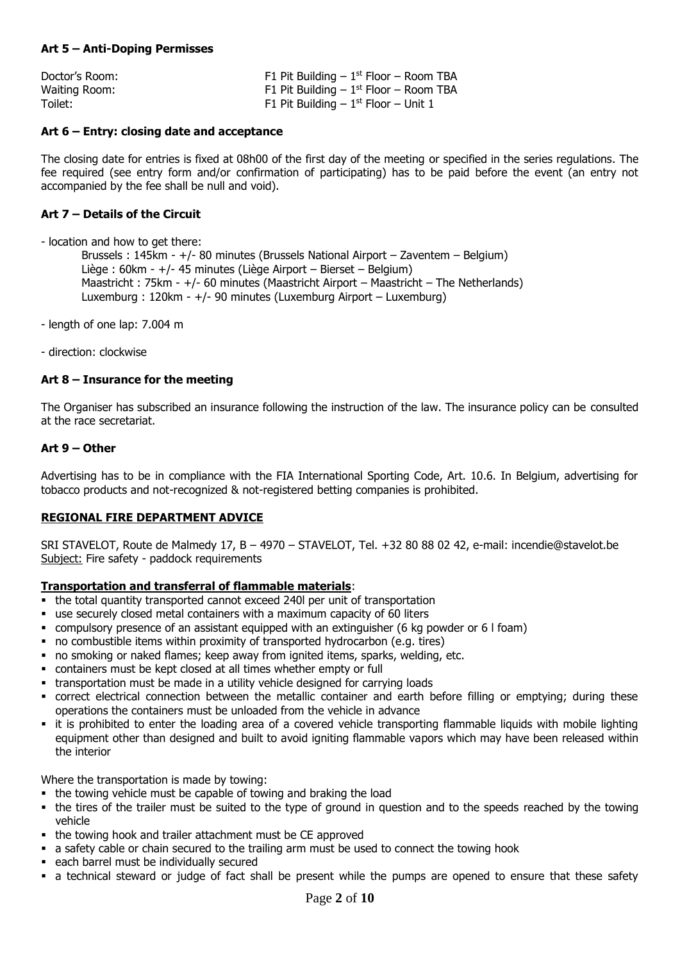#### **Art 5 – Anti-Doping Permisses**

| Doctor's Room: | F1 Pit Building $-1$ <sup>st</sup> Floor $-$ Room TBA |
|----------------|-------------------------------------------------------|
| Waiting Room:  | F1 Pit Building $-1$ <sup>st</sup> Floor $-$ Room TBA |
| Toilet:        | F1 Pit Building $-1$ <sup>st</sup> Floor $-$ Unit 1   |

#### **Art 6 – Entry: closing date and acceptance**

The closing date for entries is fixed at 08h00 of the first day of the meeting or specified in the series regulations. The fee required (see entry form and/or confirmation of participating) has to be paid before the event (an entry not accompanied by the fee shall be null and void).

#### **Art 7 – Details of the Circuit**

- location and how to get there:

Brussels : 145km - +/- 80 minutes (Brussels National Airport – Zaventem – Belgium) Liège : 60km - +/- 45 minutes (Liège Airport – Bierset – Belgium) Maastricht : 75km - +/- 60 minutes (Maastricht Airport – Maastricht – The Netherlands) Luxemburg : 120km - +/- 90 minutes (Luxemburg Airport – Luxemburg)

- length of one lap: 7.004 m

- direction: clockwise

#### **Art 8 – Insurance for the meeting**

The Organiser has subscribed an insurance following the instruction of the law. The insurance policy can be consulted at the race secretariat.

#### **Art 9 – Other**

Advertising has to be in compliance with the FIA International Sporting Code, Art. 10.6. In Belgium, advertising for tobacco products and not-recognized & not-registered betting companies is prohibited.

#### **REGIONAL FIRE DEPARTMENT ADVICE**

SRI STAVELOT, Route de Malmedy 17, B – 4970 – STAVELOT, Tel. +32 80 88 02 42, e-mail: [incendie@stavelot.be](mailto:incendie@stavelot.be) Subject: Fire safety - paddock requirements

#### **Transportation and transferral of flammable materials**:

- the total quantity transported cannot exceed 240l per unit of transportation
- use securely closed metal containers with a maximum capacity of 60 liters
- compulsory presence of an assistant equipped with an extinguisher (6 kg powder or 6 l foam)
- no combustible items within proximity of transported hydrocarbon (e.g. tires)
- no smoking or naked flames; keep away from ignited items, sparks, welding, etc.
- containers must be kept closed at all times whether empty or full
- transportation must be made in a utility vehicle designed for carrying loads
- correct electrical connection between the metallic container and earth before filling or emptying; during these operations the containers must be unloaded from the vehicle in advance
- it is prohibited to enter the loading area of a covered vehicle transporting flammable liquids with mobile lighting equipment other than designed and built to avoid igniting flammable vapors which may have been released within the interior

Where the transportation is made by towing:

- the towing vehicle must be capable of towing and braking the load
- the tires of the trailer must be suited to the type of ground in question and to the speeds reached by the towing vehicle
- the towing hook and trailer attachment must be CE approved
- a safety cable or chain secured to the trailing arm must be used to connect the towing hook
- each barrel must be individually secured
- a technical steward or judge of fact shall be present while the pumps are opened to ensure that these safety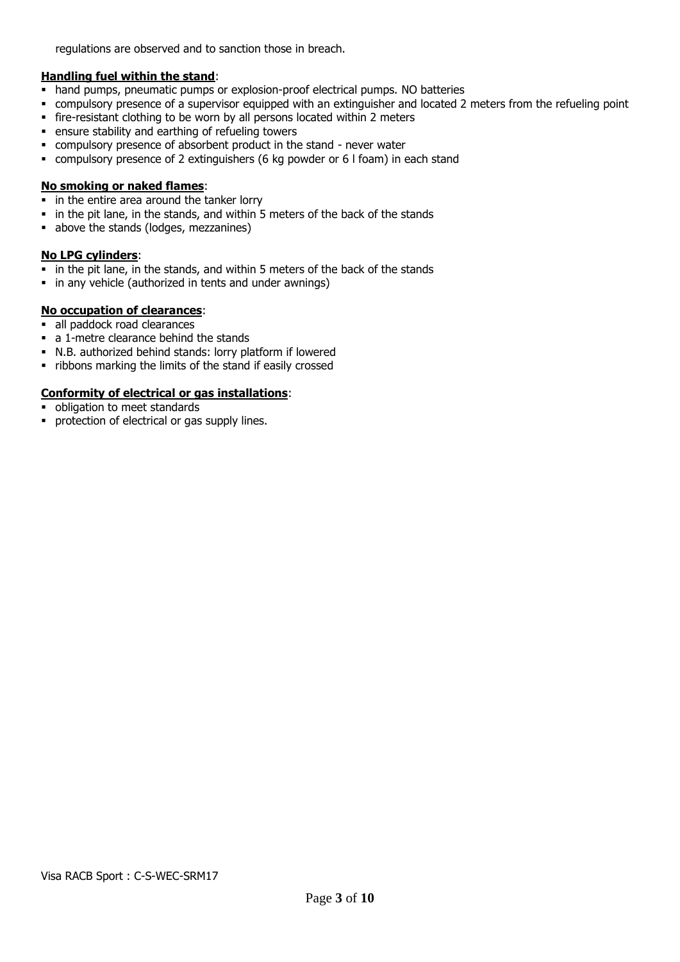regulations are observed and to sanction those in breach.

#### **Handling fuel within the stand**:

- **hand pumps, pneumatic pumps or explosion-proof electrical pumps. NO batteries**
- compulsory presence of a supervisor equipped with an extinguisher and located 2 meters from the refueling point
- fire-resistant clothing to be worn by all persons located within 2 meters
- ensure stability and earthing of refueling towers
- compulsory presence of absorbent product in the stand never water
- compulsory presence of 2 extinguishers (6 kg powder or 6 l foam) in each stand

#### **No smoking or naked flames**:

- in the entire area around the tanker lorry
- in the pit lane, in the stands, and within 5 meters of the back of the stands
- above the stands (lodges, mezzanines)

#### **No LPG cylinders**:

- **.** in the pit lane, in the stands, and within 5 meters of the back of the stands
- in any vehicle (authorized in tents and under awnings)

#### **No occupation of clearances**:

- all paddock road clearances
- a 1-metre clearance behind the stands
- N.B. authorized behind stands: lorry platform if lowered
- ribbons marking the limits of the stand if easily crossed

#### **Conformity of electrical or gas installations**:

- **•** obligation to meet standards
- **•** protection of electrical or gas supply lines.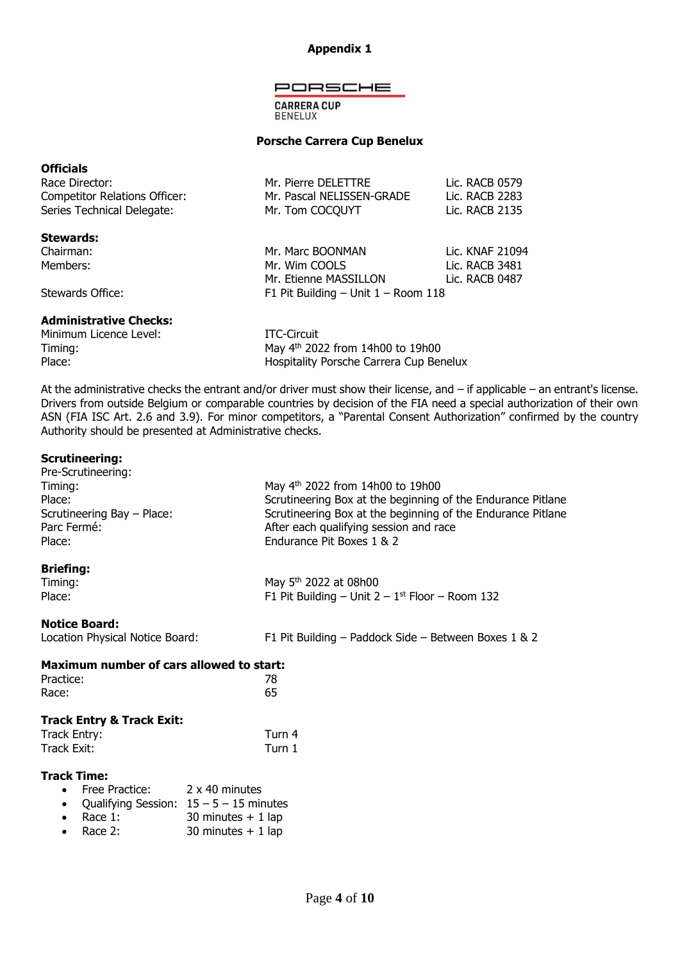#### **Appendix 1**

PORSCHE

**CARRERA CUP BENELUX** 

#### **Porsche Carrera Cup Benelux**

#### **Officials**

| Race Director:                       | Mr. Pierre DELETTRE                     | Lic. RACB 0579  |
|--------------------------------------|-----------------------------------------|-----------------|
| <b>Competitor Relations Officer:</b> | Mr. Pascal NELISSEN-GRADE               | Lic. RACB 2283  |
| Series Technical Delegate:           | Mr. Tom COCQUYT                         | Lic. RACB 2135  |
| <b>Stewards:</b>                     |                                         |                 |
| Chairman:                            | Mr. Marc BOONMAN                        | Lic. KNAF 21094 |
| Members:                             | Mr. Wim COOLS                           | Lic. RACB 3481  |
|                                      | Mr. Etienne MASSILLON                   | Lic. RACB 0487  |
| Stewards Office:                     | F1 Pit Building $-$ Unit $1 -$ Room 118 |                 |

#### **Administrative Checks:**

| Minimum Licence Level: | ITC-Circuit                             |
|------------------------|-----------------------------------------|
| Timing:                | May $4^{th}$ 2022 from 14h00 to 19h00   |
| Place:                 | Hospitality Porsche Carrera Cup Benelux |

At the administrative checks the entrant and/or driver must show their license, and – if applicable – an entrant's license. Drivers from outside Belgium or comparable countries by decision of the FIA need a special authorization of their own ASN (FIA ISC Art. 2.6 and 3.9). For minor competitors, a "Parental Consent Authorization" confirmed by the country Authority should be presented at Administrative checks.

#### **Scrutineering:**

| Pre-Scrutineering:<br>Timing:<br>Place:<br>Scrutineering Bay - Place:<br>Parc Fermé:<br>Place:                                   | May 4 <sup>th</sup> 2022 from 14h00 to 19h00<br>Scrutineering Box at the beginning of the Endurance Pitlane<br>Scrutineering Box at the beginning of the Endurance Pitlane<br>After each qualifying session and race<br>Endurance Pit Boxes 1 & 2 |
|----------------------------------------------------------------------------------------------------------------------------------|---------------------------------------------------------------------------------------------------------------------------------------------------------------------------------------------------------------------------------------------------|
| <b>Briefing:</b><br>Timing:<br>Place:                                                                                            | May 5 <sup>th</sup> 2022 at 08h00<br>F1 Pit Building – Unit $2 - 1$ <sup>st</sup> Floor – Room 132                                                                                                                                                |
| <b>Notice Board:</b><br>Location Physical Notice Board:                                                                          | F1 Pit Building - Paddock Side - Between Boxes 1 & 2                                                                                                                                                                                              |
| <b>Maximum number of cars allowed to start:</b><br>Practice:<br>Race:                                                            | 78<br>65                                                                                                                                                                                                                                          |
| <b>Track Entry &amp; Track Exit:</b><br>Track Entry:<br>Track Exit:                                                              | Turn 4<br>Turn 1                                                                                                                                                                                                                                  |
| <b>Track Time:</b><br>Free Practice: 2 x 40 minutes<br>$\bullet$<br>$\bullet$<br>Race $1$ :<br>$\bullet$<br>Race 2:<br>$\bullet$ | Qualifying Session: $15 - 5 - 15$ minutes<br>30 minutes $+1$ lap<br>30 minutes $+1$ lap                                                                                                                                                           |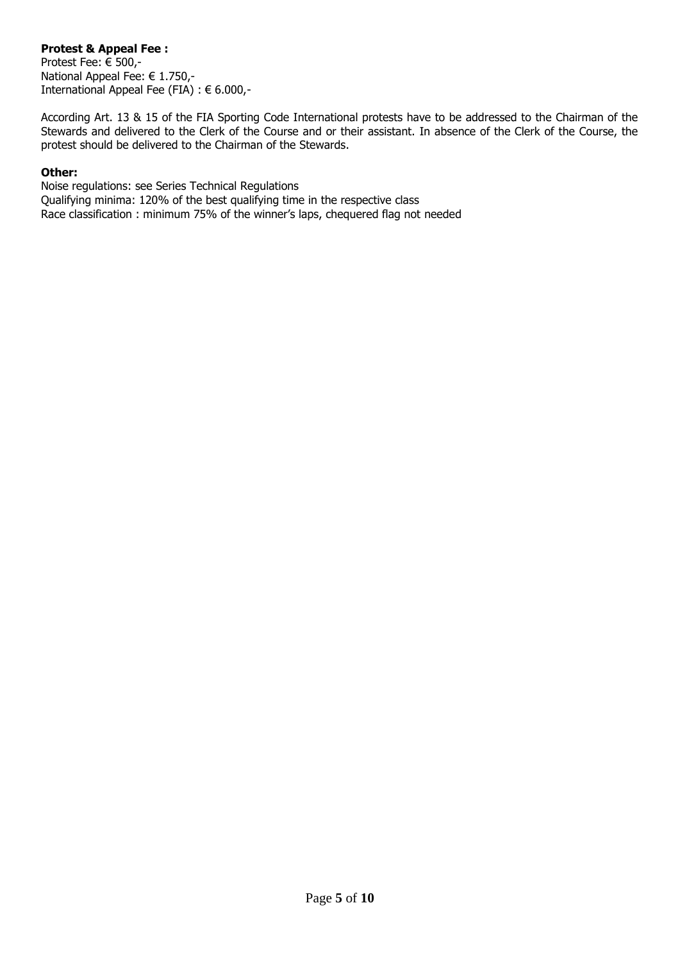### **Protest & Appeal Fee :**

Protest Fee: € 500,- National Appeal Fee: € 1.750,- International Appeal Fee (FIA) : € 6.000,-

According Art. 13 & 15 of the FIA Sporting Code International protests have to be addressed to the Chairman of the Stewards and delivered to the Clerk of the Course and or their assistant. In absence of the Clerk of the Course, the protest should be delivered to the Chairman of the Stewards.

#### **Other:**

Noise regulations: see Series Technical Regulations Qualifying minima: 120% of the best qualifying time in the respective class Race classification : minimum 75% of the winner's laps, chequered flag not needed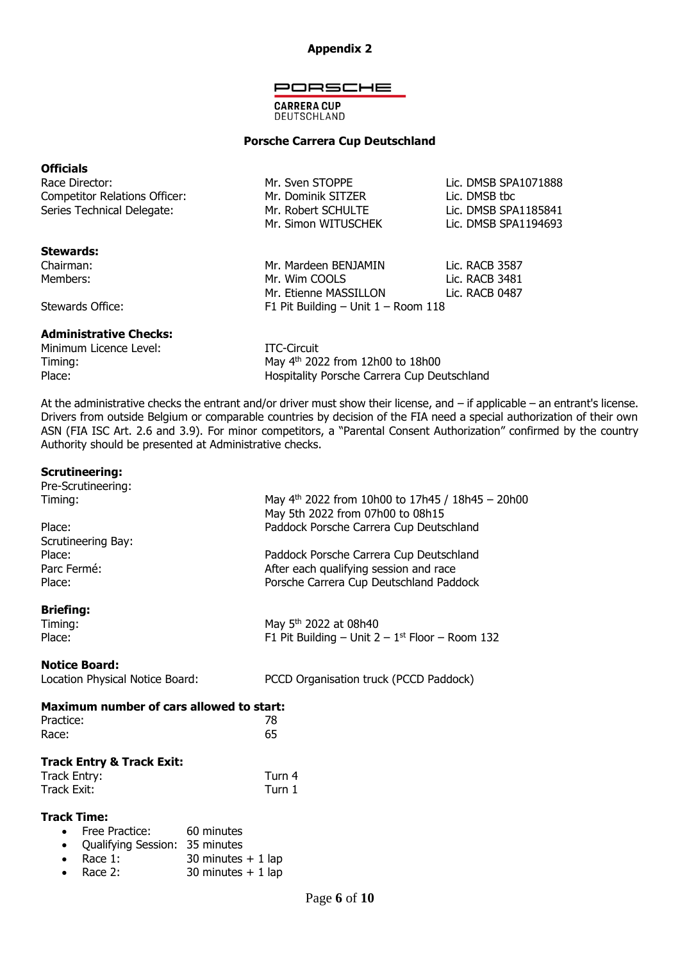#### **Appendix 2**

#### PORSCHE

#### **CARRERA CUP** DEUTSCHLAND

#### **Porsche Carrera Cup Deutschland**

#### **Officials**

| Race Director:                | Mr. Sven STOPPE     | Lic. DMSB SPA1071888 |
|-------------------------------|---------------------|----------------------|
| Competitor Relations Officer: | Mr. Dominik SITZER  | Lic. DMSB tbc        |
| Series Technical Delegate:    | Mr. Robert SCHULTE  | Lic. DMSB SPA1185841 |
|                               | Mr. Simon WITUSCHEK | Lic. DMSB SPA1194693 |

#### **Stewards:**

Chairman: Mr. Mardeen BENJAMIN Lic. RACB 3587 Members: Notified the Mr. Wim COOLS Control and Lic. RACB 3481

Stewards Office: F1 Pit Building – Unit 1 – Room 118

#### **Administrative Checks:**

Minimum Licence Level: ITC-Circuit Timing:

May 4<sup>th</sup> 2022 from 12h00 to 18h00 Place: **Hospitality Porsche Carrera Cup Deutschland** 

Mr. Etienne MASSILLON Lic. RACB 0487

At the administrative checks the entrant and/or driver must show their license, and – if applicable – an entrant's license. Drivers from outside Belgium or comparable countries by decision of the FIA need a special authorization of their own ASN (FIA ISC Art. 2.6 and 3.9). For minor competitors, a "Parental Consent Authorization" confirmed by the country Authority should be presented at Administrative checks.

#### **Scrutineering:**

| Pre-Scrutineering:                                                  |                                                                                                    |
|---------------------------------------------------------------------|----------------------------------------------------------------------------------------------------|
| Timing:                                                             | May $4^{th}$ 2022 from 10h00 to 17h45 / 18h45 - 20h00                                              |
|                                                                     | May 5th 2022 from 07h00 to 08h15                                                                   |
| Place:<br>Scrutineering Bay:                                        | Paddock Porsche Carrera Cup Deutschland                                                            |
| Place:                                                              | Paddock Porsche Carrera Cup Deutschland                                                            |
| Parc Fermé:                                                         | After each qualifying session and race                                                             |
| Place:                                                              | Porsche Carrera Cup Deutschland Paddock                                                            |
|                                                                     |                                                                                                    |
| <b>Briefing:</b>                                                    |                                                                                                    |
| Timing:<br>Place:                                                   | May 5 <sup>th</sup> 2022 at 08h40<br>F1 Pit Building – Unit $2 - 1$ <sup>st</sup> Floor – Room 132 |
|                                                                     |                                                                                                    |
| <b>Notice Board:</b>                                                |                                                                                                    |
| Location Physical Notice Board:                                     | PCCD Organisation truck (PCCD Paddock)                                                             |
|                                                                     |                                                                                                    |
| <b>Maximum number of cars allowed to start:</b>                     |                                                                                                    |
|                                                                     |                                                                                                    |
| Practice:                                                           | 78                                                                                                 |
| Race:                                                               | 65                                                                                                 |
| <b>Track Entry &amp; Track Exit:</b>                                |                                                                                                    |
| <b>Track Entry:</b>                                                 | Turn 4                                                                                             |
| Track Exit:                                                         | Turn 1                                                                                             |
|                                                                     |                                                                                                    |
| <b>Track Time:</b>                                                  |                                                                                                    |
| Free Practice:<br>60 minutes<br>$\bullet$                           |                                                                                                    |
| Qualifying Session: 35 minutes<br>$\bullet$<br>Race 1:<br>$\bullet$ |                                                                                                    |
| Race 2:                                                             | 30 minutes $+1$ lap<br>30 minutes $+1$ lap                                                         |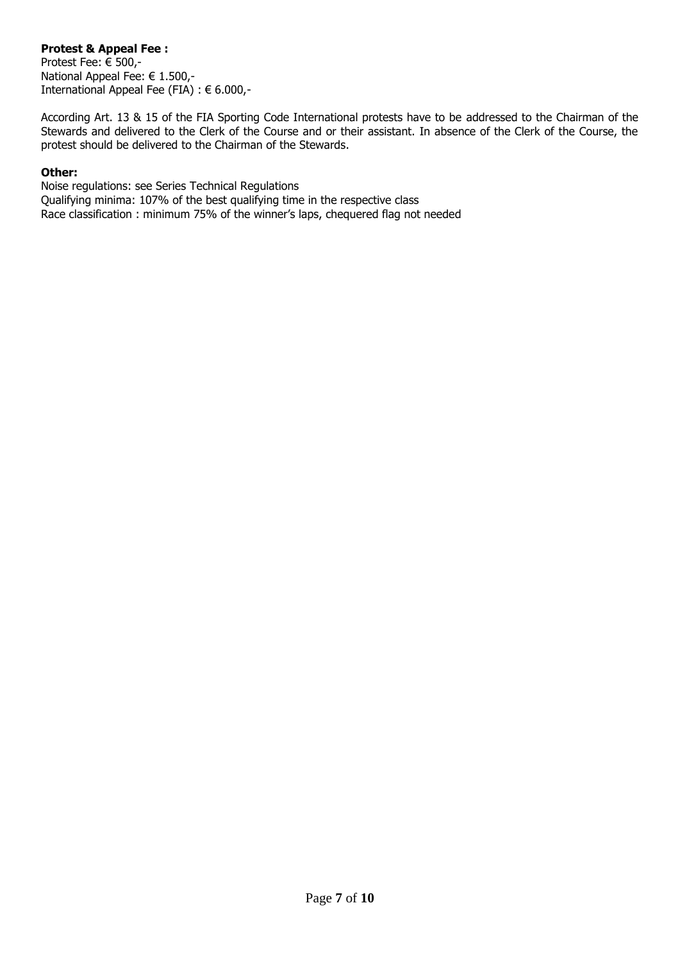### **Protest & Appeal Fee :**

Protest Fee: € 500,- National Appeal Fee: € 1.500,- International Appeal Fee (FIA) : € 6.000,-

According Art. 13 & 15 of the FIA Sporting Code International protests have to be addressed to the Chairman of the Stewards and delivered to the Clerk of the Course and or their assistant. In absence of the Clerk of the Course, the protest should be delivered to the Chairman of the Stewards.

#### **Other:**

Noise regulations: see Series Technical Regulations Qualifying minima: 107% of the best qualifying time in the respective class Race classification : minimum 75% of the winner's laps, chequered flag not needed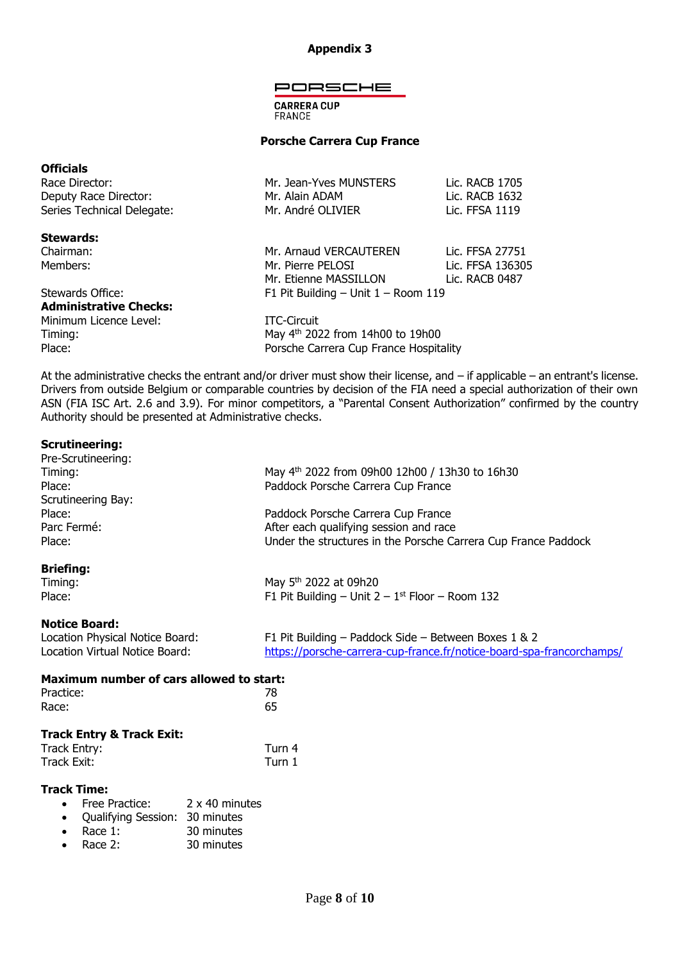#### **Appendix 3**

#### PORSCHE

**CARRERA CUP FRANCE** 

#### **Porsche Carrera Cup France**

## **Officials** Race Director: Mr. Jean-Yves MUNSTERS Lic. RACB 1705 Deputy Race Director: Mr. Alain ADAM Lic. RACB 1632 Series Technical Delegate: Mr. André OLIVIER Lic. FFSA 1119 **Stewards:** Chairman: Mr. Arnaud VERCAUTEREN Lic. FFSA 27751 Members: Members: Mr. Pierre PELOSI Lic. FFSA 136305

# Stewards Office: F1 Pit Building – Unit 1 – Room 119 **Administrative Checks:**

Minimum Licence Level: ITC-Circuit Timing: Timing: May 4<sup>th</sup> 2022 from 14h00 to 19h00 Place: Place: Porsche Carrera Cup France Hospitality

Mr. Etienne MASSILLON Lic. RACB 0487

At the administrative checks the entrant and/or driver must show their license, and – if applicable – an entrant's license. Drivers from outside Belgium or comparable countries by decision of the FIA need a special authorization of their own ASN (FIA ISC Art. 2.6 and 3.9). For minor competitors, a "Parental Consent Authorization" confirmed by the country Authority should be presented at Administrative checks.

#### **Scrutineering:**

| Pre-Scrutineering: |                                                                |  |  |
|--------------------|----------------------------------------------------------------|--|--|
| Timing:            | May 4 <sup>th</sup> 2022 from 09h00 12h00 / 13h30 to 16h30     |  |  |
| Place:             | Paddock Porsche Carrera Cup France                             |  |  |
| Scrutineering Bay: |                                                                |  |  |
| Place:             | Paddock Porsche Carrera Cup France                             |  |  |
| Parc Fermé:        | After each qualifying session and race                         |  |  |
| Place:             | Under the structures in the Porsche Carrera Cup France Paddock |  |  |
| <b>Briefing:</b>   |                                                                |  |  |
| Timing:            | May 5 <sup>th</sup> 2022 at 09h20                              |  |  |
| Place:             | F1 Pit Building – Unit $2 - 1$ <sup>st</sup> Floor – Room 132  |  |  |

#### **Notice Board:**

| Location Physical Notice Board: | F1 Pit Building – Paddock Side – Between Boxes 1 & 2                  |
|---------------------------------|-----------------------------------------------------------------------|
| Location Virtual Notice Board:  | https://porsche-carrera-cup-france.fr/notice-board-spa-francorchamps/ |

| Maximum number of cars allowed to start: |        |  |
|------------------------------------------|--------|--|
| Practice:                                | 78     |  |
| Race:                                    | 65     |  |
| <b>Track Entry &amp; Track Exit:</b>     |        |  |
| Track Entry:                             | Turn 4 |  |

| Track Exit: | Turn 1 |  |
|-------------|--------|--|
|             |        |  |

#### **Track Time:**

- Free Practice: 2 x 40 minutes
- Qualifying Session: 30 minutes
- Race 1: 30 minutes
- Race 2: 30 minutes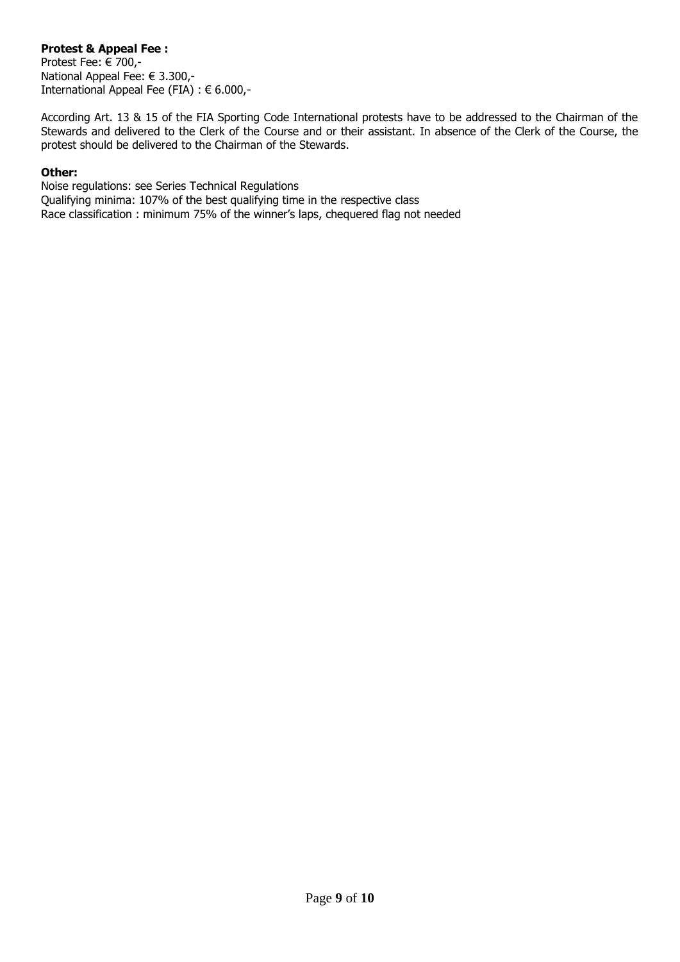### **Protest & Appeal Fee :**

Protest Fee: € 700,- National Appeal Fee: € 3.300,- International Appeal Fee (FIA) : € 6.000,-

According Art. 13 & 15 of the FIA Sporting Code International protests have to be addressed to the Chairman of the Stewards and delivered to the Clerk of the Course and or their assistant. In absence of the Clerk of the Course, the protest should be delivered to the Chairman of the Stewards.

#### **Other:**

Noise regulations: see Series Technical Regulations Qualifying minima: 107% of the best qualifying time in the respective class Race classification : minimum 75% of the winner's laps, chequered flag not needed